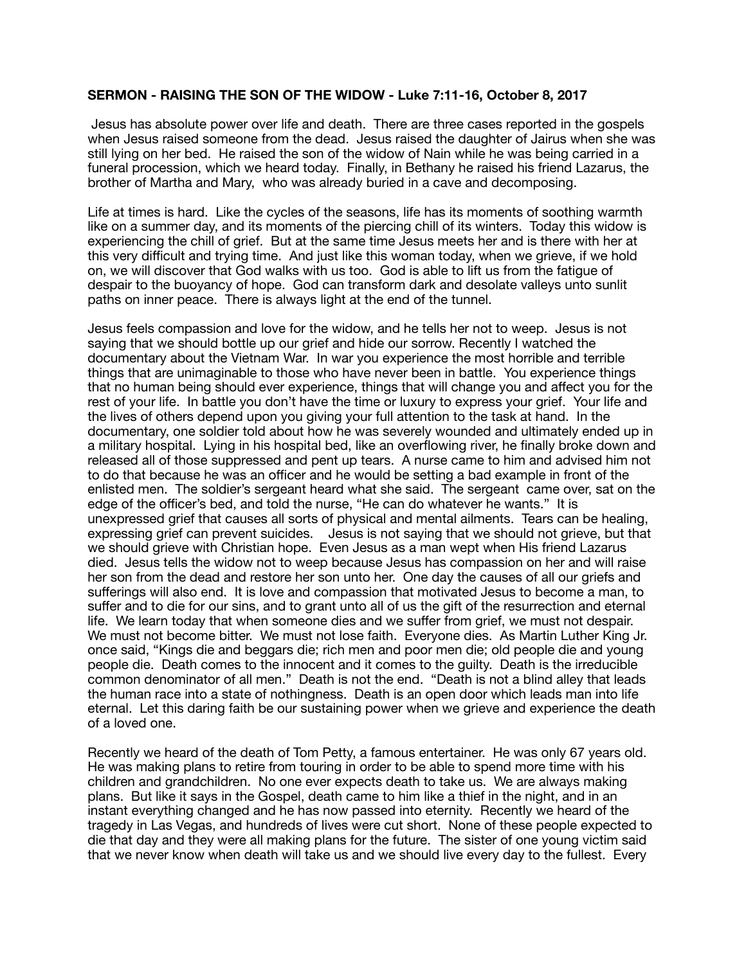## **SERMON - RAISING THE SON OF THE WIDOW - Luke 7:11-16, October 8, 2017**

 Jesus has absolute power over life and death. There are three cases reported in the gospels when Jesus raised someone from the dead. Jesus raised the daughter of Jairus when she was still lying on her bed. He raised the son of the widow of Nain while he was being carried in a funeral procession, which we heard today. Finally, in Bethany he raised his friend Lazarus, the brother of Martha and Mary, who was already buried in a cave and decomposing.

Life at times is hard. Like the cycles of the seasons, life has its moments of soothing warmth like on a summer day, and its moments of the piercing chill of its winters. Today this widow is experiencing the chill of grief. But at the same time Jesus meets her and is there with her at this very difficult and trying time. And just like this woman today, when we grieve, if we hold on, we will discover that God walks with us too. God is able to lift us from the fatigue of despair to the buoyancy of hope. God can transform dark and desolate valleys unto sunlit paths on inner peace. There is always light at the end of the tunnel.

Jesus feels compassion and love for the widow, and he tells her not to weep. Jesus is not saying that we should bottle up our grief and hide our sorrow. Recently I watched the documentary about the Vietnam War. In war you experience the most horrible and terrible things that are unimaginable to those who have never been in battle. You experience things that no human being should ever experience, things that will change you and affect you for the rest of your life. In battle you don't have the time or luxury to express your grief. Your life and the lives of others depend upon you giving your full attention to the task at hand. In the documentary, one soldier told about how he was severely wounded and ultimately ended up in a military hospital. Lying in his hospital bed, like an overflowing river, he finally broke down and released all of those suppressed and pent up tears. A nurse came to him and advised him not to do that because he was an officer and he would be setting a bad example in front of the enlisted men. The soldier's sergeant heard what she said. The sergeant came over, sat on the edge of the officer's bed, and told the nurse, "He can do whatever he wants." It is unexpressed grief that causes all sorts of physical and mental ailments. Tears can be healing, expressing grief can prevent suicides. Jesus is not saying that we should not grieve, but that we should grieve with Christian hope. Even Jesus as a man wept when His friend Lazarus died. Jesus tells the widow not to weep because Jesus has compassion on her and will raise her son from the dead and restore her son unto her. One day the causes of all our griefs and sufferings will also end. It is love and compassion that motivated Jesus to become a man, to suffer and to die for our sins, and to grant unto all of us the gift of the resurrection and eternal life. We learn today that when someone dies and we suffer from grief, we must not despair. We must not become bitter. We must not lose faith. Everyone dies. As Martin Luther King Jr. once said, "Kings die and beggars die; rich men and poor men die; old people die and young people die. Death comes to the innocent and it comes to the guilty. Death is the irreducible common denominator of all men." Death is not the end. "Death is not a blind alley that leads the human race into a state of nothingness. Death is an open door which leads man into life eternal. Let this daring faith be our sustaining power when we grieve and experience the death of a loved one.

Recently we heard of the death of Tom Petty, a famous entertainer. He was only 67 years old. He was making plans to retire from touring in order to be able to spend more time with his children and grandchildren. No one ever expects death to take us. We are always making plans. But like it says in the Gospel, death came to him like a thief in the night, and in an instant everything changed and he has now passed into eternity. Recently we heard of the tragedy in Las Vegas, and hundreds of lives were cut short. None of these people expected to die that day and they were all making plans for the future. The sister of one young victim said that we never know when death will take us and we should live every day to the fullest. Every